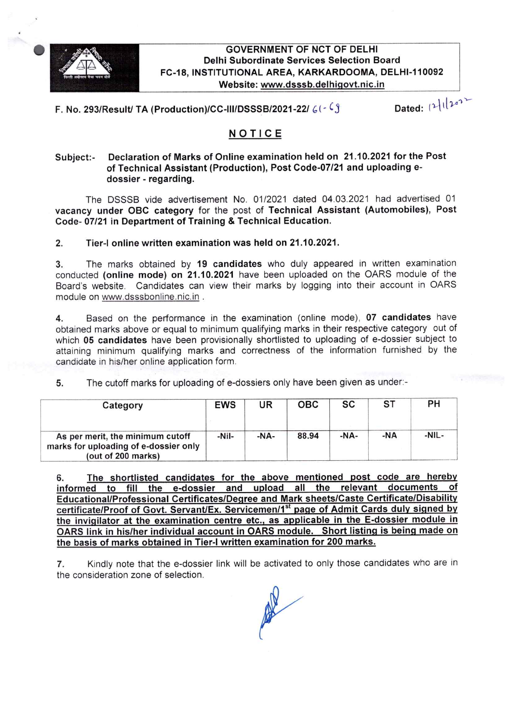

F. No. 293/Result/ TA (Production)/CC-III/DSSSB/2021-22/  $\zeta(\cdot \ \zeta)$  Dated:  $\| \lambda \|^{1 + \gamma}$ 

## NOTICE

## Subiect:- Declaration of Marks of Online examination held on 21.10.2021 for the Post of Technical Assistant (Production), Post Code-07/21 and uploading edossier - regarding.

The DSSSB vide advertisement No. 01/2021 dated 04.03.2021 had advertised 01 vacancy under OBC category for the post of Technical Assistant (Automobiles), Post Code-07/21 in Department Of Training & Technical Education.

## 2. Tierl online written examination was held on 21.10.2021.

3. The marks obtained by 19 candidates who duly appeared in written examination conducted (online mode) on 21.10.2021 have been uploaded on the OARS module of the Board's website. Candidates can view their marks by logging into their account in OARS module on www.dsssbonline.nic.in .

4. Based on the performance in the examination (online mode), 07 candidates have obtained marks above or equal to minimum qualifying marks in their respective category out of which 05 candidates have been provisionally shortlisted to uploading of e-dossier subject to attaining minimum qualifying marks and correctness of the information furnished by the candidate in his/her online application form.

5. The cutoff marks for uploading of e-dossiers only have been given as under -

| Category                                                                                        | <b>EWS</b> | UR   | <b>OBC</b> | SC   | SТ  | PH    |
|-------------------------------------------------------------------------------------------------|------------|------|------------|------|-----|-------|
| As per merit, the minimum cutoff<br>marks for uploading of e-dossier only<br>(out of 200 marks) | -Nil-      | -NA- | 88.94      | -NA- | -NA | -NIL- |

6. The shortlisted candidates for the above mentioned post code are hereby informed to fill the e-dossier and upload all the relevant documents of Educational/Professional Certificates/Degree and Mark sheets/Caste Certificate/Disability certificate/Proof of Govt. Servant/Ex. Servicemen/1<sup>st</sup> page of Admit Cards duly signed by the invigilator at the examination centre etc., as applicable in the E-dossier module in OARS link in his/her individual account in OARS module. Short listing is being made on the basis of marks obtained in Tier-I written examination for 200 marks.

7. Kindly note that the e-dossier link will be activated to only those candidates who are in the consideration zone of selection.

R<sub>pa</sub>